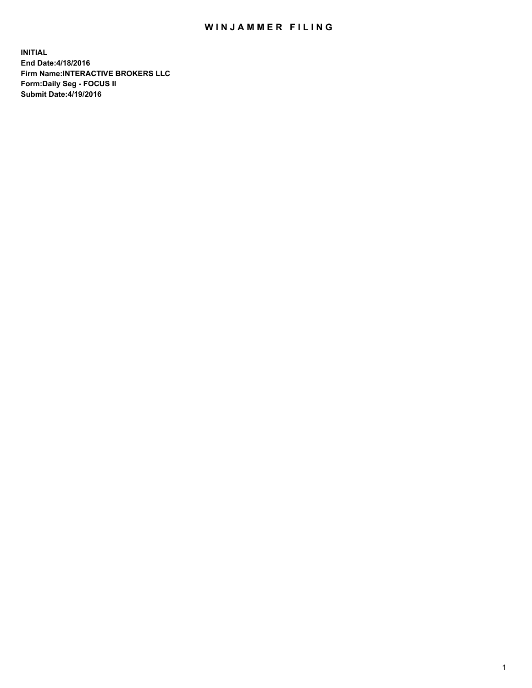## WIN JAMMER FILING

**INITIAL End Date:4/18/2016 Firm Name:INTERACTIVE BROKERS LLC Form:Daily Seg - FOCUS II Submit Date:4/19/2016**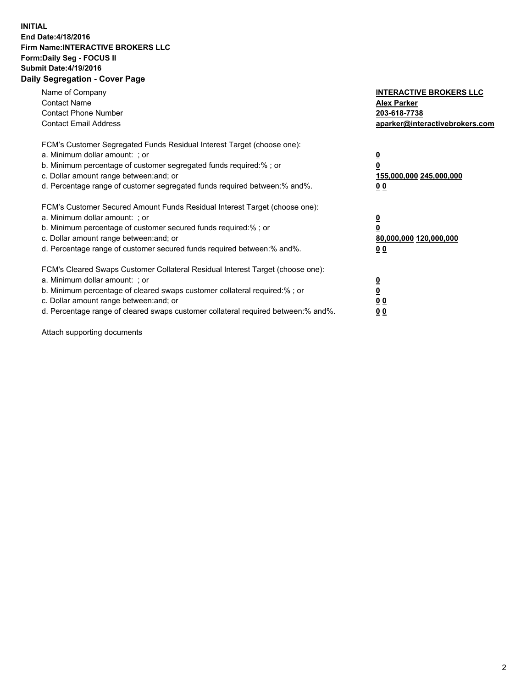## **INITIAL End Date:4/18/2016 Firm Name:INTERACTIVE BROKERS LLC Form:Daily Seg - FOCUS II Submit Date:4/19/2016 Daily Segregation - Cover Page**

| Name of Company<br><b>Contact Name</b><br><b>Contact Phone Number</b><br><b>Contact Email Address</b>                                                                                                                                                                                                                          | <b>INTERACTIVE BROKERS LLC</b><br><b>Alex Parker</b><br>203-618-7738<br>aparker@interactivebrokers.com |
|--------------------------------------------------------------------------------------------------------------------------------------------------------------------------------------------------------------------------------------------------------------------------------------------------------------------------------|--------------------------------------------------------------------------------------------------------|
| FCM's Customer Segregated Funds Residual Interest Target (choose one):<br>a. Minimum dollar amount: ; or<br>b. Minimum percentage of customer segregated funds required:%; or<br>c. Dollar amount range between: and; or<br>d. Percentage range of customer segregated funds required between:% and%.                          | <u>0</u><br>155,000,000 245,000,000<br><u>00</u>                                                       |
| FCM's Customer Secured Amount Funds Residual Interest Target (choose one):<br>a. Minimum dollar amount: ; or<br>b. Minimum percentage of customer secured funds required:%; or<br>c. Dollar amount range between: and; or<br>d. Percentage range of customer secured funds required between:% and%.                            | <u>0</u><br>80,000,000 120,000,000<br><u>00</u>                                                        |
| FCM's Cleared Swaps Customer Collateral Residual Interest Target (choose one):<br>a. Minimum dollar amount: ; or<br>b. Minimum percentage of cleared swaps customer collateral required:% ; or<br>c. Dollar amount range between: and; or<br>d. Percentage range of cleared swaps customer collateral required between:% and%. | <u>0</u><br>0 <sub>0</sub><br>0 <sub>0</sub>                                                           |

Attach supporting documents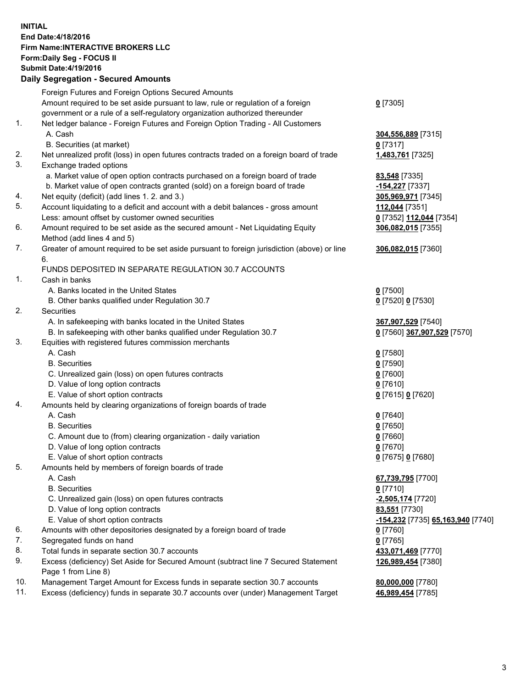## **INITIAL End Date:4/18/2016 Firm Name:INTERACTIVE BROKERS LLC Form:Daily Seg - FOCUS II Submit Date:4/19/2016 Daily Segregation - Secured Amounts**

|          | Foreign Futures and Foreign Options Secured Amounts                                                        |                                   |
|----------|------------------------------------------------------------------------------------------------------------|-----------------------------------|
|          | Amount required to be set aside pursuant to law, rule or regulation of a foreign                           | $0$ [7305]                        |
|          | government or a rule of a self-regulatory organization authorized thereunder                               |                                   |
| 1.       | Net ledger balance - Foreign Futures and Foreign Option Trading - All Customers                            |                                   |
|          | A. Cash                                                                                                    | 304,556,889 [7315]                |
|          | B. Securities (at market)                                                                                  | 0 [7317]                          |
| 2.       | Net unrealized profit (loss) in open futures contracts traded on a foreign board of trade                  | 1,483,761 [7325]                  |
| 3.       | Exchange traded options                                                                                    |                                   |
|          | a. Market value of open option contracts purchased on a foreign board of trade                             | 83,548 [7335]                     |
|          | b. Market value of open contracts granted (sold) on a foreign board of trade                               | -154,227 [7337]                   |
| 4.       | Net equity (deficit) (add lines 1.2. and 3.)                                                               | 305,969,971 [7345]                |
| 5.       | Account liquidating to a deficit and account with a debit balances - gross amount                          | 112,044 [7351]                    |
|          | Less: amount offset by customer owned securities                                                           | 0 [7352] 112,044 [7354]           |
| 6.       | Amount required to be set aside as the secured amount - Net Liquidating Equity                             | 306,082,015 [7355]                |
|          | Method (add lines 4 and 5)                                                                                 |                                   |
| 7.       | Greater of amount required to be set aside pursuant to foreign jurisdiction (above) or line                | 306,082,015 [7360]                |
|          | 6.                                                                                                         |                                   |
|          | FUNDS DEPOSITED IN SEPARATE REGULATION 30.7 ACCOUNTS                                                       |                                   |
| 1.       | Cash in banks                                                                                              |                                   |
|          | A. Banks located in the United States                                                                      | $0$ [7500]                        |
|          | B. Other banks qualified under Regulation 30.7                                                             | 0 [7520] 0 [7530]                 |
| 2.       | Securities                                                                                                 |                                   |
|          | A. In safekeeping with banks located in the United States                                                  | 367,907,529 [7540]                |
|          | B. In safekeeping with other banks qualified under Regulation 30.7                                         | 0 [7560] 367,907,529 [7570]       |
| 3.       | Equities with registered futures commission merchants                                                      |                                   |
|          | A. Cash                                                                                                    | $0$ [7580]                        |
|          | <b>B.</b> Securities                                                                                       | $0$ [7590]                        |
|          | C. Unrealized gain (loss) on open futures contracts                                                        | $0$ [7600]                        |
|          | D. Value of long option contracts                                                                          | $0$ [7610]                        |
|          | E. Value of short option contracts                                                                         | 0 [7615] 0 [7620]                 |
| 4.       | Amounts held by clearing organizations of foreign boards of trade                                          |                                   |
|          | A. Cash                                                                                                    | $0$ [7640]                        |
|          | <b>B.</b> Securities                                                                                       | $0$ [7650]                        |
|          | C. Amount due to (from) clearing organization - daily variation                                            | $0$ [7660]                        |
|          | D. Value of long option contracts                                                                          | $0$ [7670]                        |
|          | E. Value of short option contracts                                                                         | 0 [7675] 0 [7680]                 |
| 5.       | Amounts held by members of foreign boards of trade                                                         |                                   |
|          | A. Cash                                                                                                    | 67,739,795 [7700]                 |
|          | <b>B.</b> Securities                                                                                       | $0$ [7710]                        |
|          | C. Unrealized gain (loss) on open futures contracts                                                        | -2,505,174 [7720]                 |
|          | D. Value of long option contracts                                                                          | 83,551 [7730]                     |
|          | E. Value of short option contracts                                                                         | -154,232 [7735] 65,163,940 [7740] |
|          |                                                                                                            |                                   |
| 6.<br>7. | Amounts with other depositories designated by a foreign board of trade                                     | $0$ [7760]                        |
| 8.       | Segregated funds on hand                                                                                   | $0$ [7765]                        |
|          | Total funds in separate section 30.7 accounts                                                              | 433,071,469 [7770]                |
| 9.       | Excess (deficiency) Set Aside for Secured Amount (subtract line 7 Secured Statement<br>Page 1 from Line 8) | 126,989,454 [7380]                |
| 10.      | Management Target Amount for Excess funds in separate section 30.7 accounts                                | 80,000,000 [7780]                 |
| 11.      | Excess (deficiency) funds in separate 30.7 accounts over (under) Management Target                         | 46,989,454 [7785]                 |
|          |                                                                                                            |                                   |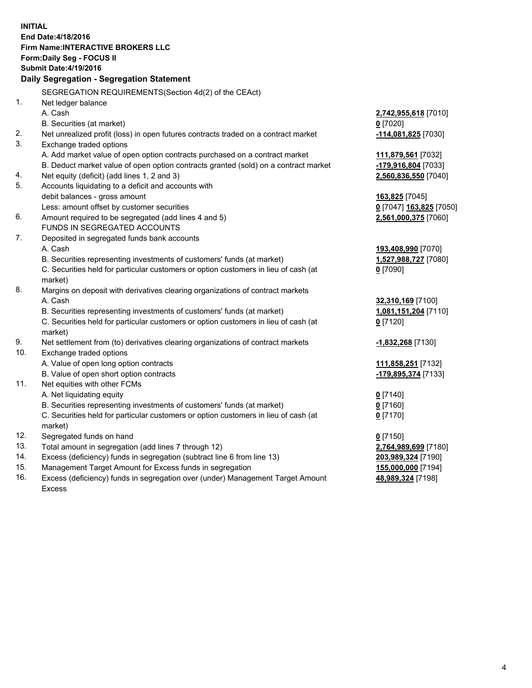**INITIAL End Date:4/18/2016 Firm Name:INTERACTIVE BROKERS LLC Form:Daily Seg - FOCUS II Submit Date:4/19/2016 Daily Segregation - Segregation Statement** SEGREGATION REQUIREMENTS(Section 4d(2) of the CEAct) 1. Net ledger balance A. Cash **2,742,955,618** [7010] B. Securities (at market) **0** [7020] 2. Net unrealized profit (loss) in open futures contracts traded on a contract market **-114,081,825** [7030] 3. Exchange traded options A. Add market value of open option contracts purchased on a contract market **111,879,561** [7032] B. Deduct market value of open option contracts granted (sold) on a contract market **-179,916,804** [7033] 4. Net equity (deficit) (add lines 1, 2 and 3) **2,560,836,550** [7040] 5. Accounts liquidating to a deficit and accounts with debit balances - gross amount **163,825** [7045] Less: amount offset by customer securities **0** [7047] **163,825** [7050] 6. Amount required to be segregated (add lines 4 and 5) **2,561,000,375** [7060] FUNDS IN SEGREGATED ACCOUNTS 7. Deposited in segregated funds bank accounts A. Cash **193,408,990** [7070] B. Securities representing investments of customers' funds (at market) **1,527,988,727** [7080] C. Securities held for particular customers or option customers in lieu of cash (at market) **0** [7090] 8. Margins on deposit with derivatives clearing organizations of contract markets A. Cash **32,310,169** [7100] B. Securities representing investments of customers' funds (at market) **1,081,151,204** [7110] C. Securities held for particular customers or option customers in lieu of cash (at market) **0** [7120] 9. Net settlement from (to) derivatives clearing organizations of contract markets **-1,832,268** [7130] 10. Exchange traded options A. Value of open long option contracts **111,858,251** [7132] B. Value of open short option contracts **-179,895,374** [7133] 11. Net equities with other FCMs A. Net liquidating equity **0** [7140] B. Securities representing investments of customers' funds (at market) **0** [7160] C. Securities held for particular customers or option customers in lieu of cash (at market) **0** [7170] 12. Segregated funds on hand **0** [7150] 13. Total amount in segregation (add lines 7 through 12) **2,764,989,699** [7180] 14. Excess (deficiency) funds in segregation (subtract line 6 from line 13) **203,989,324** [7190] 15. Management Target Amount for Excess funds in segregation **155,000,000** [7194] **48,989,324** [7198]

16. Excess (deficiency) funds in segregation over (under) Management Target Amount Excess